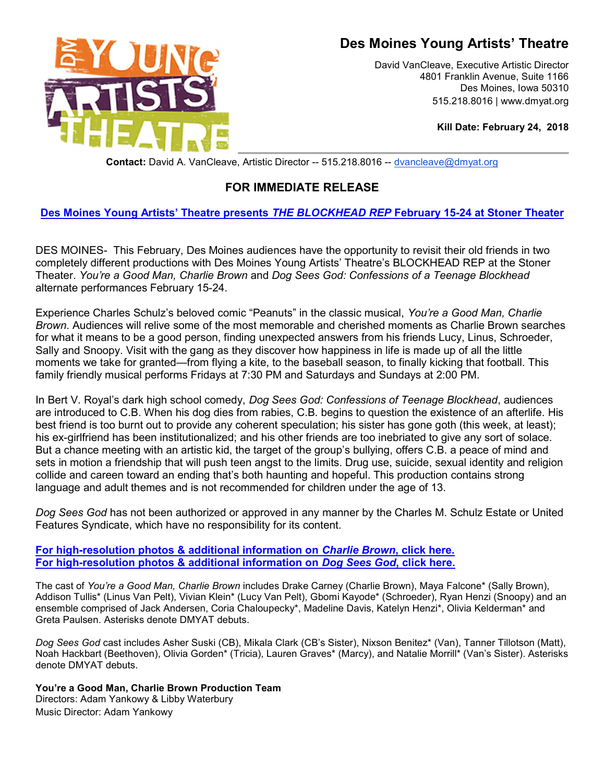# Des Moines Young Artists' Theatre



David VanCleave, Executive Artistic Director 4801 Franklin Avenue, Suite 1166 Des Moines, Iowa 50310 515.218.8016 | www.dmyat.org

Kill Date: February 24, 2018

Contact: David A. VanCleave, Artistic Director -- 515.218.8016 -- dvancleave@dmyat.org

# FOR IMMEDIATE RELEASE

# Des Moines Young Artists' Theatre presents THE BLOCKHEAD REP February 15-24 at Stoner Theater

DES MOINES- This February, Des Moines audiences have the opportunity to revisit their old friends in two completely different productions with Des Moines Young Artists' Theatre's BLOCKHEAD REP at the Stoner Theater. You're a Good Man, Charlie Brown and Dog Sees God: Confessions of a Teenage Blockhead alternate performances February 15-24.

Experience Charles Schulz's beloved comic "Peanuts" in the classic musical, You're a Good Man, Charlie Brown. Audiences will relive some of the most memorable and cherished moments as Charlie Brown searches for what it means to be a good person, finding unexpected answers from his friends Lucy, Linus, Schroeder, Sally and Snoopy. Visit with the gang as they discover how happiness in life is made up of all the little moments we take for granted—from flying a kite, to the baseball season, to finally kicking that football. This family friendly musical performs Fridays at 7:30 PM and Saturdays and Sundays at 2:00 PM.

In Bert V. Royal's dark high school comedy, Dog Sees God: Confessions of Teenage Blockhead, audiences are introduced to C.B. When his dog dies from rabies, C.B. begins to question the existence of an afterlife. His best friend is too burnt out to provide any coherent speculation; his sister has gone goth (this week, at least); his ex-girlfriend has been institutionalized; and his other friends are too inebriated to give any sort of solace. But a chance meeting with an artistic kid, the target of the group's bullying, offers C.B. a peace of mind and sets in motion a friendship that will push teen angst to the limits. Drug use, suicide, sexual identity and religion collide and careen toward an ending that's both haunting and hopeful. This production contains strong language and adult themes and is not recommended for children under the age of 13.

Dog Sees God has not been authorized or approved in any manner by the Charles M. Schulz Estate or United Features Syndicate, which have no responsibility for its content.

## For high-resolution photos & additional information on Charlie Brown, click here. For high-resolution photos & additional information on Dog Sees God, click here.

The cast of You're a Good Man, Charlie Brown includes Drake Carney (Charlie Brown), Maya Falcone\* (Sally Brown), Addison Tullis\* (Linus Van Pelt), Vivian Klein\* (Lucy Van Pelt), Gbomi Kayode\* (Schroeder), Ryan Henzi (Snoopy) and an ensemble comprised of Jack Andersen, Coria Chaloupecky\*, Madeline Davis, Katelyn Henzi\*, Olivia Kelderman\* and Greta Paulsen. Asterisks denote DMYAT debuts.

Dog Sees God cast includes Asher Suski (CB), Mikala Clark (CB's Sister), Nixson Benitez\* (Van), Tanner Tillotson (Matt), Noah Hackbart (Beethoven), Olivia Gorden\* (Tricia), Lauren Graves\* (Marcy), and Natalie Morrill\* (Van's Sister). Asterisks denote DMYAT debuts.

### You're a Good Man, Charlie Brown Production Team

Directors: Adam Yankowy & Libby Waterbury Music Director: Adam Yankowy